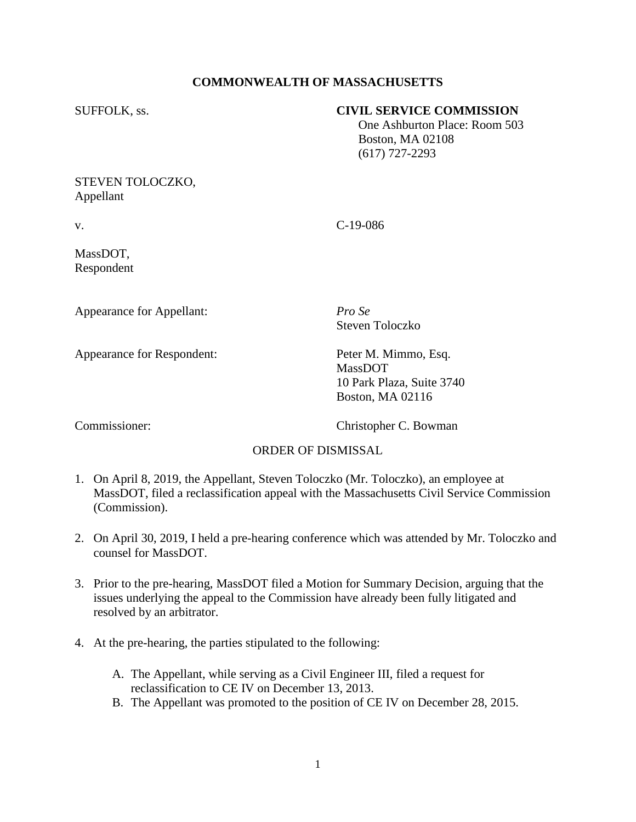### **COMMONWEALTH OF MASSACHUSETTS**

### SUFFOLK, ss. **CIVIL SERVICE COMMISSION**

 One Ashburton Place: Room 503 Boston, MA 02108 (617) 727-2293

### STEVEN TOLOCZKO, Appellant

v. C-19-086

MassDOT, Respondent

Appearance for Appellant: *Pro Se*

Steven Toloczko

Appearance for Respondent: Peter M. Mimmo, Esq.

MassDOT 10 Park Plaza, Suite 3740 Boston, MA 02116

Commissioner: Christopher C. Bowman

# ORDER OF DISMISSAL

- 1. On April 8, 2019, the Appellant, Steven Toloczko (Mr. Toloczko), an employee at MassDOT, filed a reclassification appeal with the Massachusetts Civil Service Commission (Commission).
- 2. On April 30, 2019, I held a pre-hearing conference which was attended by Mr. Toloczko and counsel for MassDOT.
- 3. Prior to the pre-hearing, MassDOT filed a Motion for Summary Decision, arguing that the issues underlying the appeal to the Commission have already been fully litigated and resolved by an arbitrator.
- 4. At the pre-hearing, the parties stipulated to the following:
	- A. The Appellant, while serving as a Civil Engineer III, filed a request for reclassification to CE IV on December 13, 2013.
	- B. The Appellant was promoted to the position of CE IV on December 28, 2015.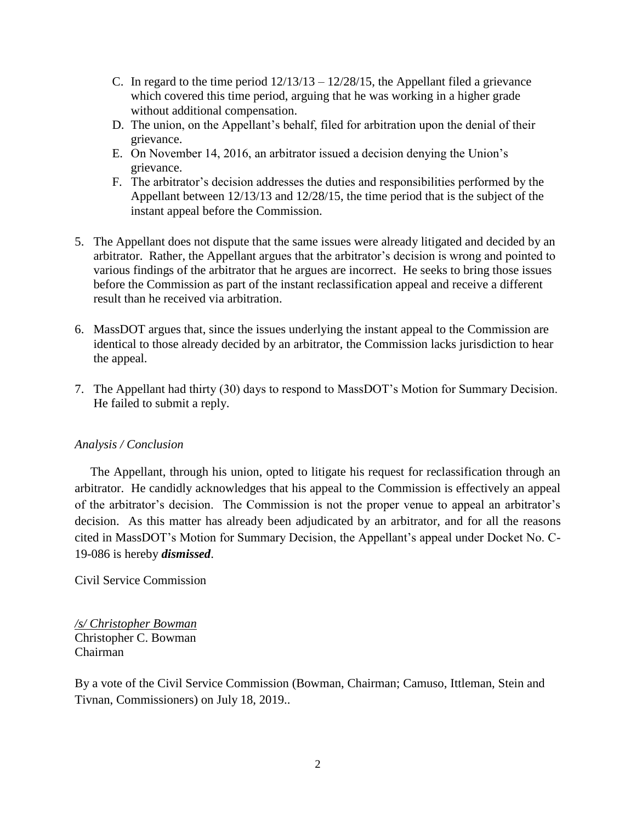- C. In regard to the time period  $12/13/13 12/28/15$ , the Appellant filed a grievance which covered this time period, arguing that he was working in a higher grade without additional compensation.
- D. The union, on the Appellant's behalf, filed for arbitration upon the denial of their grievance.
- E. On November 14, 2016, an arbitrator issued a decision denying the Union's grievance.
- F. The arbitrator's decision addresses the duties and responsibilities performed by the Appellant between 12/13/13 and 12/28/15, the time period that is the subject of the instant appeal before the Commission.
- 5. The Appellant does not dispute that the same issues were already litigated and decided by an arbitrator. Rather, the Appellant argues that the arbitrator's decision is wrong and pointed to various findings of the arbitrator that he argues are incorrect. He seeks to bring those issues before the Commission as part of the instant reclassification appeal and receive a different result than he received via arbitration.
- 6. MassDOT argues that, since the issues underlying the instant appeal to the Commission are identical to those already decided by an arbitrator, the Commission lacks jurisdiction to hear the appeal.
- 7. The Appellant had thirty (30) days to respond to MassDOT's Motion for Summary Decision. He failed to submit a reply.

# *Analysis / Conclusion*

 The Appellant, through his union, opted to litigate his request for reclassification through an arbitrator. He candidly acknowledges that his appeal to the Commission is effectively an appeal of the arbitrator's decision. The Commission is not the proper venue to appeal an arbitrator's decision. As this matter has already been adjudicated by an arbitrator, and for all the reasons cited in MassDOT's Motion for Summary Decision, the Appellant's appeal under Docket No. C-19-086 is hereby *dismissed*.

Civil Service Commission

*/s/ Christopher Bowman* Christopher C. Bowman Chairman

By a vote of the Civil Service Commission (Bowman, Chairman; Camuso, Ittleman, Stein and Tivnan, Commissioners) on July 18, 2019..